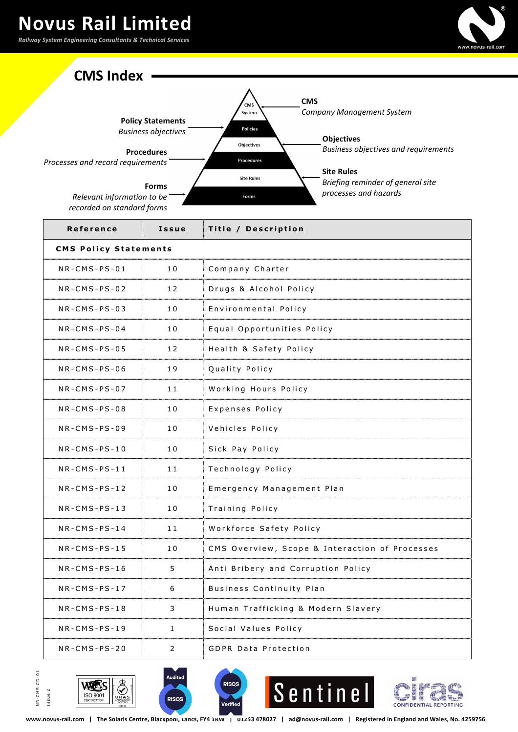



| Reference       | Issue                        | Title / Description                            |  |
|-----------------|------------------------------|------------------------------------------------|--|
|                 | <b>CMS Policy Statements</b> |                                                |  |
| $NR$ -CMS-PS-01 | 10                           | Company Charter                                |  |
| $NR$ -CMS-PS-02 | 12                           | Drugs & Alcohol Policy                         |  |
| $NR$ -CMS-PS-03 | 10                           | Environmental Policy                           |  |
| $NR-CMS-PS-04$  | 10                           | Equal Opportunities Policy                     |  |
| $NR$ -CMS-PS-05 | 12                           | Health & Safety Policy                         |  |
| $NR$ -CMS-PS-06 | 19                           | Quality Policy                                 |  |
| $NR$ -CMS-PS-07 | 11                           | Working Hours Policy                           |  |
| $NR-CMS-PS-0.8$ | 10                           | Expenses Policy                                |  |
| $NR$ -CMS-PS-09 | 10                           | Vehicles Policy                                |  |
| $NR$ -CMS-PS-10 | 10                           | Sick Pay Policy                                |  |
| $NR$ -CMS-PS-11 | 11                           | Technology Policy                              |  |
| $NR$ -CMS-PS-12 | 10                           | Emergency Management Plan                      |  |
| $NR$ -CMS-PS-13 | 10                           | Training Policy                                |  |
| $NR$ -CMS-PS-14 | 11                           | Workforce Safety Policy                        |  |
| $NR$ -CMS-PS-15 | 10                           | CMS Overview, Scope & Interaction of Processes |  |
| $NR$ -CMS-PS-16 | 5                            | Anti Bribery and Corruption Policy             |  |
| $NR$ -CMS-PS-17 | 6                            | Business Continuity Plan                       |  |
| $NR$ -CMS-PS-18 | 3                            | Human Trafficking & Modern Slavery             |  |
| $NR$ -CMS-PS-19 | 1                            | Social Values Policy                           |  |
| $NR$ -CMS-PS-20 | $\overline{2}$               | <b>GDPR Data Protection</b>                    |  |









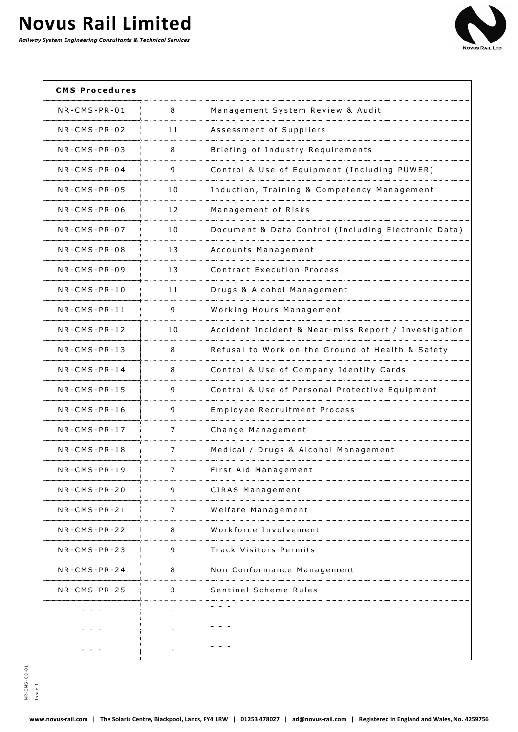

| <b>CMS Procedures</b> |    |                                                      |
|-----------------------|----|------------------------------------------------------|
| $NR$ -CMS-PR-01       | 8  | Management System Review & Audit                     |
| $NR-CMS-PR-02$        | 11 | Assessment of Suppliers                              |
| $NR$ -CMS-PR-03       | 8  | Briefing of Industry Requirements                    |
| $NR$ -CMS-PR-04       | 9  | Control & Use of Equipment (Including PUWER)         |
| $NR$ -CMS-PR-05       | 10 | Induction, Training & Competency Management          |
| $NR$ -CMS-PR-06       | 12 | Management of Risks                                  |
| $NR$ -CMS-PR-07       | 10 | Document & Data Control (Including Electronic Data)  |
| $NR$ -CMS-PR-08       | 13 | Accounts Management                                  |
| $NR-CMS-PR-09$        | 13 | Contract Execution Process                           |
| $NR$ -CMS-PR-10       | 11 | Drugs & Alcohol Management                           |
| $NR$ -CMS-PR-11       | 9  | Working Hours Management                             |
| $NR$ -CMS-PR-12       | 10 | Accident Incident & Near-miss Report / Investigation |
| $NR-CMS-PR-13$        | 8  | Refusal to Work on the Ground of Health & Safety     |
| $NR$ -CMS-PR-14       | 8  | Control & Use of Company Identity Cards              |
| $NR$ -CMS-PR-15       | 9  | Control & Use of Personal Protective Equipment       |
| $NR$ -CMS-PR-16       | 9  | Employee Recruitment Process                         |
| $NR$ -CMS-PR-17       | 7  | Change Management                                    |
| $NR$ -CMS-PR-18       | 7  | Medical / Drugs & Alcohol Management                 |
| $NR$ -CMS-PR-19       | 7  | First Aid Management                                 |
| $NR$ -CMS-PR-20       | 9  | CIRAS Management                                     |
| $NR$ -CMS-PR-21       | 7  | Welfare Management                                   |
| $NR-CMS-PR-22$        | 8  | Workforce Involvement                                |
| $NR-CMS-PR-23$        | 9  | Track Visitors Permits                               |
| $NR$ -CMS-PR-24       | 8  | Non Conformance Management                           |
| NR-CMS-PR-25          | 3  | Sentinel Scheme Rules                                |
|                       |    | - - -                                                |
|                       |    |                                                      |
|                       |    |                                                      |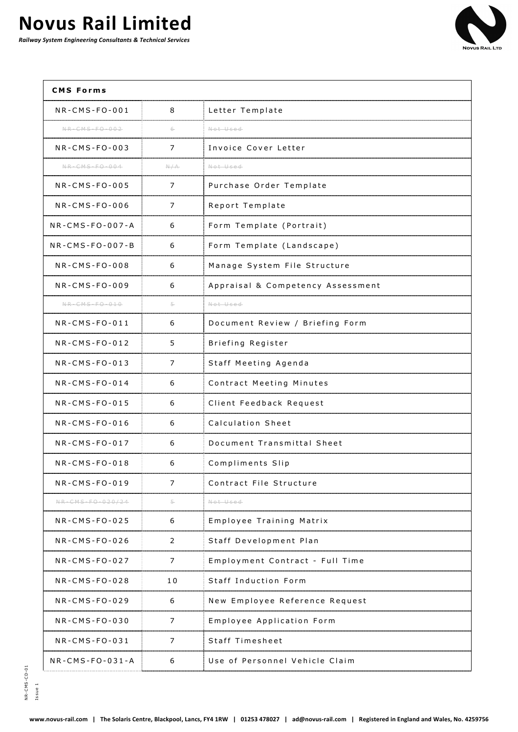

| <b>CMS Forms</b>          |     |                                   |
|---------------------------|-----|-----------------------------------|
| $NR$ -CMS-FO-001          | 8   | Letter Template                   |
| $NR - CMS - FO - 0.0 - 2$ | 6   | Not Used                          |
| $NR$ -CMS-FO-003          | 7   | Invoice Cover Letter              |
| NR-CMS-F0-004             | N/A | Not Used                          |
| NR-CMS-FO-005             | 7   | Purchase Order Template           |
| $NR$ -CMS-FO-006          | 7   | Report Template                   |
| $NR$ -CMS-FO-007-A        | 6   | Form Template (Portrait)          |
| NR-CMS-FO-007-B           | 6   | Form Template (Landscape)         |
| $NR$ -CMS-FO-008          | 6   | Manage System File Structure      |
| NR-CMS-FO-009             | 6   | Appraisal & Competency Assessment |
| NR-CMS-F0-010             | 5-  | Not Used                          |
| $NR$ -CMS-FO-011          | 6   | Document Review / Briefing Form   |
| $NR$ -CMS-FO-012          | 5   | Briefing Register                 |
| $NR$ -CMS-FO-013          | 7   | Staff Meeting Agenda              |
| $NR$ -CMS-FO-014          | 6   | Contract Meeting Minutes          |
| $NR$ -CMS-FO-015          | 6   | Client Feedback Request           |
| $NR$ -CMS-FO-016          | 6   | Calculation Sheet                 |
| $NR$ -CMS-FO-017          | 6   | Document Transmittal Sheet        |
| $NR$ -CMS-FO-018          | 6   | Compliments Slip                  |
| $NR$ -CMS-FO-019          | 7   | Contract File Structure           |
| NR-CMS-F0-020/24          | 5-  | Not Used                          |
| $NR$ -CMS-FO-025          | 6   | Employee Training Matrix          |
| $NR$ -CMS-FO-026          | 2   | Staff Development Plan            |
| $NR$ -CMS-FO-027          | 7   | Employment Contract - Full Time   |
| $NR$ -CMS-FO-028          | 10  | Staff Induction Form              |
| $NR$ -CMS-FO-029          | 6   | New Employee Reference Request    |
| $NR$ -CMS-FO-030          | 7   | Employee Application Form         |
| $NR$ -CMS-FO-031          | 7   | Staff Timesheet                   |
| $NR$ -CMS-FO-031-A        | 6   | Use of Personnel Vehicle Claim    |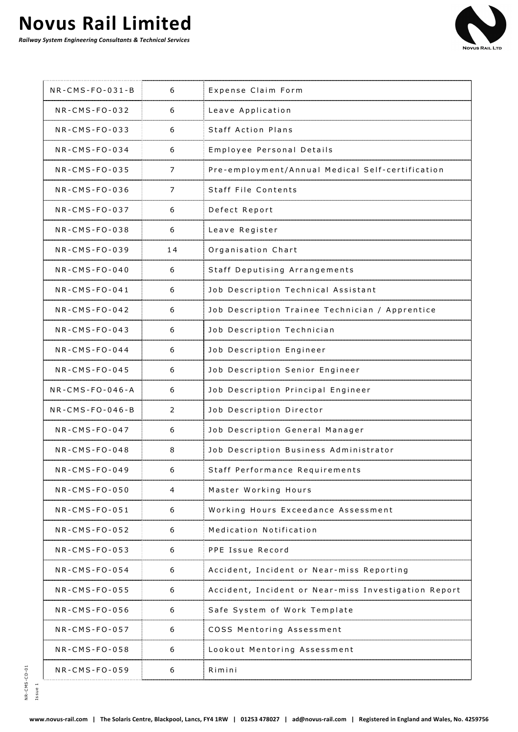

| $NR$ -CMS-FO-031-B | 6  | Expense Claim Form                                   |
|--------------------|----|------------------------------------------------------|
| $NR$ -CMS-FO-032   | 6  | Leave Application                                    |
| $NR-CMS-FO-033$    | 6  | <b>Staff Action Plans</b>                            |
| $NR$ -CMS-FO-034   | 6  | Employee Personal Details                            |
| $NR$ -CMS-FO-035   | 7  | Pre-employment/Annual Medical Self-certification     |
| $NR-CMS-FO-036$    | 7  | Staff File Contents                                  |
| $NR$ -CMS-FO-037   | 6  | Defect Report                                        |
| $NR$ -CMS-FO-038   | 6  | Leave Register                                       |
| $NR$ -CMS-FO-039   | 14 | Organisation Chart                                   |
| $NR$ -CMS-FO-040   | 6  | Staff Deputising Arrangements                        |
| $NR$ -CMS-FO-041   | 6  | Job Description Technical Assistant                  |
| $NR$ -CMS-FO-042   | 6  | Job Description Trainee Technician / Apprentice      |
| $NR$ -CMS-FO-043   | 6  | Job Description Technician                           |
| $NR$ -CMS-FO-044   | 6  | Job Description Engineer                             |
| $NR$ -CMS-FO-045   | 6  | Job Description Senior Engineer                      |
| NR-CMS-FO-046-A    | 6  | Job Description Principal Engineer                   |
| $NR$ -CMS-FO-046-B | 2  | Job Description Director                             |
| $NR-CMS-FO-047$    | 6  | Job Description General Manager                      |
| $NR$ -CMS-FO-048   | 8  | Job Description Business Administrator               |
| NR-CMS-FO-049      | 6  | Staff Performance Requirements                       |
| NR-CMS-FO-050      | 4  | Master Working Hours                                 |
| $NR$ -CMS-FO-051   | 6  | Working Hours Exceedance Assessment                  |
| $NR$ -CMS-FO-052   | 6  | Medication Notification                              |
| $NR$ -CMS-FO-053   | 6  | PPE Issue Record                                     |
| $NR$ -CMS-FO-054   | 6  | Accident, Incident or Near-miss Reporting            |
| $NR$ -CMS-FO-055   | 6  | Accident, Incident or Near-miss Investigation Report |
| $NR$ -CMS-FO-056   | 6  | Safe System of Work Template                         |
| $NR$ -CMS-FO-057   | 6  | COSS Mentoring Assessment                            |
| $NR$ -CMS-FO-058   | 6  | Lookout Mentoring Assessment                         |
| $NR$ -CMS-FO-059   | 6  | Rimini                                               |
|                    |    |                                                      |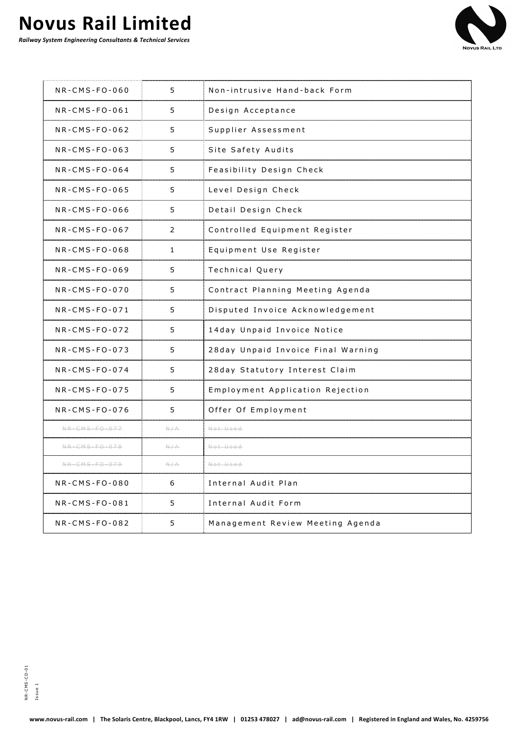

| $NR$ -CMS-FO-060 | 5   | Non-intrusive Hand-back Form       |
|------------------|-----|------------------------------------|
| $NR$ -CMS-FO-061 | 5   | Design Acceptance                  |
| $NR$ -CMS-FO-062 | 5   | Supplier Assessment                |
| $NR$ -CMS-FO-063 | 5   | Site Safety Audits                 |
| $NR$ -CMS-FO-064 | 5   | Feasibility Design Check           |
| $NR$ -CMS-FO-065 | 5   | Level Design Check                 |
| $NR$ -CMS-FO-066 | 5   | Detail Design Check                |
| $NR$ -CMS-FO-067 | 2   | Controlled Equipment Register      |
| $NR$ -CMS-FO-068 | 1   | Equipment Use Register             |
| $NR$ -CMS-FO-069 | 5   | Technical Query                    |
| $NR$ -CMS-FO-070 | 5   | Contract Planning Meeting Agenda   |
| $NR$ -CMS-FO-071 | 5   | Disputed Invoice Acknowledgement   |
| $NR$ -CMS-FO-072 | 5   | 14day Unpaid Invoice Notice        |
| $NR$ -CMS-FO-073 | 5   | 28day Unpaid Invoice Final Warning |
| $NR$ -CMS-FO-074 | 5   | 28day Statutory Interest Claim     |
| $NR$ -CMS-FO-075 | 5   | Employment Application Rejection   |
| $NR$ -CMS-FO-076 | 5   | Offer Of Employment                |
| NR-CMS-F0-077    | N/A | Not Used                           |
| NR-CMS-F0-078    | N/A | Not Used                           |
| NR-CMS-F0-079    | N/A | Not Used                           |
| NR-CMS-FO-080    | 6   | Internal Audit Plan                |
| $NR$ -CMS-FO-081 | 5   | Internal Audit Form                |
| NR-CMS-FO-082    | 5   | Management Review Meeting Agenda   |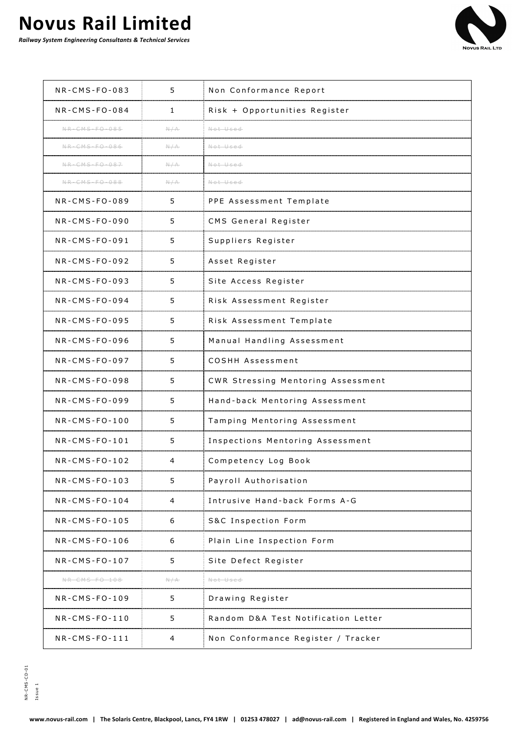

| $NR$ -CMS-FO-083 | 5   | Non Conformance Report              |
|------------------|-----|-------------------------------------|
| $NR$ -CMS-FO-084 | 1   | Risk + Opportunities Register       |
| NR-CMS-F0-085    | N/A | Not Used                            |
| NR-CMS-F0-086    | N/A | Not Used                            |
| NR-CMS-F0-087    | N/A | Not Used                            |
| $NR-CMS-FO-088$  | N/A | Not Used                            |
| $NR-CMS-FO-089$  | 5   | PPE Assessment Template             |
| $NR$ -CMS-FO-090 | 5   | CMS General Register                |
| $NR$ -CMS-FO-091 | 5   | Suppliers Register                  |
| $NR-CMS-FO-092$  | 5   | Asset Register                      |
| $NR$ -CMS-FO-093 | 5   | Site Access Register                |
| $NR$ -CMS-FO-094 | 5   | Risk Assessment Register            |
| $NR$ -CMS-FO-095 | 5   | Risk Assessment Template            |
| $NR$ -CMS-FO-096 | 5   | Manual Handling Assessment          |
| $NR$ -CMS-FO-097 | 5   | COSHH Assessment                    |
| $NR$ -CMS-FO-098 | 5   | CWR Stressing Mentoring Assessment  |
| $NR$ -CMS-FO-099 | 5   | Hand-back Mentoring Assessment      |
| $NR$ -CMS-FO-100 | 5   | Tamping Mentoring Assessment        |
| $NR$ -CMS-FO-101 | 5   | Inspections Mentoring Assessment    |
| $NR$ -CMS-FO-102 | 4   | Competency Log Book                 |
| $NR$ -CMS-FO-103 | 5   | Payroll Authorisation               |
| $NR$ -CMS-FO-104 | 4   | Intrusive Hand-back Forms A-G       |
| NR-CMS-FO-105    | 6   | S&C Inspection Form                 |
| $NR$ -CMS-FO-106 | 6   | Plain Line Inspection Form          |
| $NR$ -CMS-FO-107 | 5   | Site Defect Register                |
| NR-CMS-F0-108    | N/A | Not Used                            |
| $NR$ -CMS-FO-109 | 5   | Drawing Register                    |
| $NR$ -CMS-FO-110 | 5   | Random D&A Test Notification Letter |
| $NR$ -CMS-FO-111 | 4   | Non Conformance Register / Tracker  |